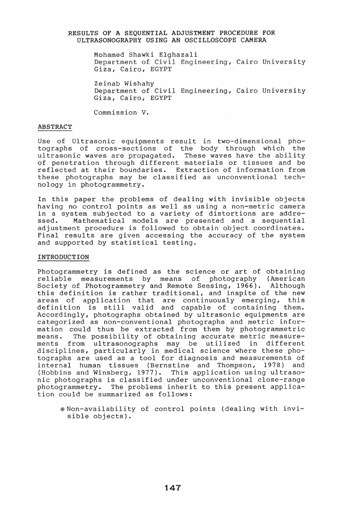## RESULTS OF A SEQUENTIAL ADJUSTMENT PROCEDURE FOR ULTRASONOGRAPHY USING AN OSCILLOSCOPE CAMERA

Mohamed Shawki Elghazali Department of Civil Engineering, Cairo University Giza, Cairo, EGYPT

Zeinab Wishahy Department of Civil Engineering, Cairo University Giza, Cairo, EGYPT

Commission V.

#### ABSTRACT

Use of Ultrasonic equipments result in two-dimensional photographs of cross-sections of the body through which the ultrasonic waves are propagated. These waves have the ability of penetration through different materials or tissues and be reflected at their boundaries. Extraction of information from these photographs may be classified as unconventional technology in photogrammetry.

In this paper the problems of dealing with invisible objects having no control points as well as using a non-metric camera in a system subjected to a variety of distortions are addre-<br>ssed. Mathematical models are presented and a sequential Mathematical models are presented and a sequential adjustment procedure is followed to obtain object coordinates. Final results are given accessing the accuracy of the system and supported by statistical testing.

### INTRODUCTION

Photogrammetry is defined as the science or art of obtaining<br>reliable measurements by means of photography (American photography (American<br>nsing, 1966). Although Society of Photogrammetry and Remote Sensing, 1966). this definition is rather traditional, and inspite of the new areas of application that are continuously emerging, this definition is still valid and capable of containing them. Accordingly, photographs obtained by ultrasonic equipments are categorized as non-conventional photographs and metric information could thus be extracted from them by photogrammetric means. The possibility of obtaining accurate metric measurements from ultrasonographs may be utilized disciplines, particularly in medical science where these photographs are used as a tool for diagnosis and measurements of internal human tissues (Bernstine and Thompson, 1978) and (Hobbins and Winsberg, 1977). This application using ultrasonic photographs is classified under unconventional close-range<br>photogrammetry. The problems inherit to this present applica-The problems inherit to this present application could be summarized as follows:

@Non-availability of control points (dealing with invisible objects).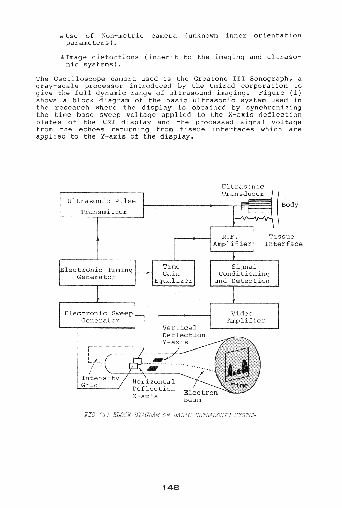- @ Use of Non-metric camera (unknown inner orientation parameters) ..
- @Image distortions (inherit to the imaging and ultrasonic systems) ..

The Oscilloscope camera used is the Greatone III Sonograph, a gray-scale processor introduced by the Unirad corporation to give the full dynamic range of ultrasound imaging. Figure (1) shows a block diagram of the basic ultrasonic system used in the research where the display is obtained by synchronizing the time base sweep voltage applied to the X-axis deflection plates of the CRT display and the processed signal voltage from the echoes returning from tissue interfaces which are applied to the  $Y$ -axis of the display.



*FIG* (1) *BLOCK DIAGRAM OF BASIC ULTRASONIC SYSTEM*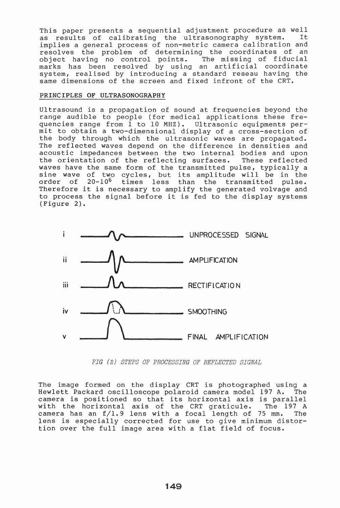This paper presents a sequential adjustment procedure as well ints paper presents a sequencial adjustment procedure as well implies a general process of non-metric camera calibration and resolves the problem of determining the coordinates of an object having no control points. The missing of fiducial marks has been resolved by using an artificial coordinate system, realised by introducing a standard reseau having the same dimensions of the screen and fixed infront of the CRT.

# PRINCIPLES OF ULTRASONOGRAPHY

Ultrasound is a propagation of sound at frequencies beyond the range audible to people (for medical applications these frequencies range from 1 to 10 MHZ). Ultrasonic equipments permit to obtain a two-dimensional display of a cross-section of the body through which the ultrasonic waves are propagated. The reflected waves depend on the difference in densities and acoustic impedances between the two internal bodies and upon<br>the orientation of the reflecting surfaces. These reflected the orientation of the reflecting surfaces. waves have the same form of the transmitted pulse, typically a sine wave of two cycles, but its amplitude will be in the order of 20-10<sup>6</sup> times less than the transmitted pulse. Therefore it is necessary to amplify the generated volvage and to process the signal before it is fed to the display systems  $(Figure 2)$ .



*FIG* (2) *STEPS* OF *PROCESSING* OF *REFLECTED SIGNAL* 

The image formed on the display CRT is photographed using a Hewlett Packard oscilloscope polaroid camera model 197 A. The camera is positioned so that its horizontal axis is parallel with the horizontal axis of the CRT graticule. The 197 A with the horizontal axis of the exit gratiture. The 197 A lens is especially corrected for use to give minimum distortion over the full image area with a flat field of focus.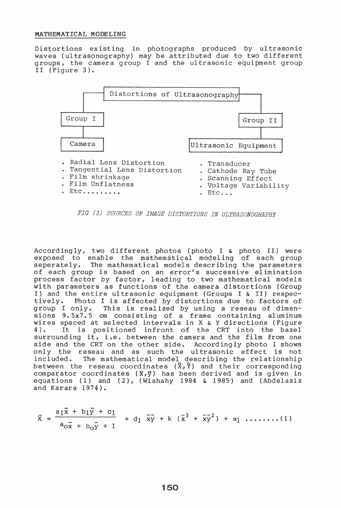### MATHEMATICAL MODELING

Distortions existing in photographs produced by ultrasonic waves (ultrasonography) may be attributed due to two different groups, the camera group I and the ultrasonic equipment group II (Figure 3).



*FIG* (3) *SOURCES OF IMAGE DISTORTIONS IN ULTRASONOGRAPHY* 

Accordingly, two different photos (photo I & photo II) were exposed to enable the mathematical model ing of each group seperately. The mathematical models describing the parameters of each group is based on an error's successive elimination process factor by factor, leading to two mathematical models with parameters as functions of the camera distortions (Group I) and the entire ultrasonic equipment (Groups I & II) respectively. Photo I is affected by distortions due to factors of group I only. This is realized by using a reseau of dimensions 9.5x7.5 cm consisting of a frame containing aluminum wires spaced at selected intervals in X & Y directions (Figure 4). It is positioned infront of the CRT into the bazel It is positioned infront of the CRT into the bazel surrounding it, i.e. between the camera and the film from one side and the CRT on the other side. Accordingly photo I shows only the reseau and as such the ultrasonic effect is not included.. The mathematical model describing the relationship between the reseau coordinates  $(\bar{x}, \bar{Y})$  and their corresponding comparator coordinates  $(\bar{x}, \bar{y})$  has been derived and is given in equations (1) and (2), (Wishahy 1984 & 1985) and (Abdelaziz and Karara 1974).

$$
\bar{x} = \frac{a_1 \bar{x} + b_1 \bar{y} + c_1}{a_0 \bar{x} + b_0 \bar{y} + 1} + d_1 \bar{x} \bar{y} + k (\bar{x}^3 + \bar{x} \bar{y}^2) + a_1 \dots (1)
$$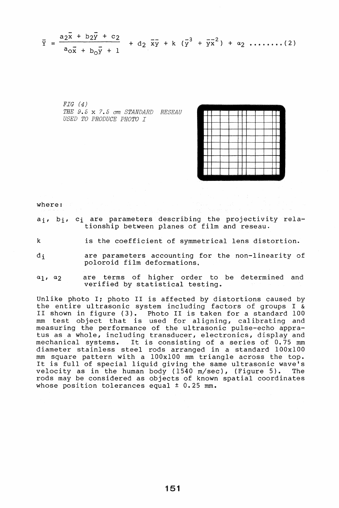$$
\overline{Y} = \frac{a_2\overline{x} + b_2\overline{y} + c_2}{a_0\overline{x} + b_0\overline{y} + 1} + d_2 \overline{x}\overline{y} + k (\overline{y}^3 + \overline{y}\overline{x}^2) + a_2 \dots (2)
$$

*FIG (4) THE* 9. 5 x ? 5 *em STANDARD RESEAU USED TO PRODUCE PHOTO I* 



where:

- a<sub>i</sub>, b<sub>i</sub>, c<sub>i</sub> are parameters describing the projectivity relationship between planes of film and reseau.
- k is the coefficient of symmetrical lens distortion.
- di are parameters accounting for the non-linearity of poloroid film deformations.
- $\alpha_1$ ,  $\alpha_2$ are terms of higher order to be determined and verified by statistical testing.

Unlike photo I; photo II is affected by distortions caused by the entire ultrasonic system including factors of groups I & II shown in figure (3). Photo II is taken for a standard 100  $mm$  test object that is used for aligning, calibrating and measuring the performance of the ultrasonic pulse-echo appratus as a whole, including transducer, electronics, display and mechanical systems. It is consisting of a series of 0.75 mm It is consisting of a series of 0.75 mm diameter stainless steel rods arranged in a standard 100xlOO  $mm$  square pattern with a  $100x100$   $mm$  triangle across the top. It is full of special liquid giving the same ultrasonic wave's velocity as in the human body (1540 m/sec), (Figure 5). The rods may be considered as objects of known spatial coordinates whose position tolerances equal ± 0.25 mm.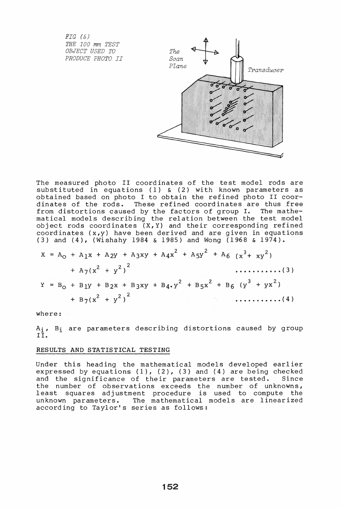*FIG (5) THE 100 mm TEST OBJECT USED TO PRODUCE PHOTO II* 



 $\ldots$  . . . . . . . . . . . (4)

The measured photo II coord inates of the test model rods are substituted in equations (1) & (2) with known parameters as obtained based on photo I to obtain the refined photo II coordinates of the rods. These refined coordinates are thus free from distortions caused by the factors of group I. The mathematical models describing the relation between the test model object rods coordinates (X,Y) and their corresponding refined coordinates (x,y) have been derived and are given in equations (3) and  $(4)$ , (Wishahy 1984 & 1985) and Wong (1968 & 1974).

 $X = A_0 + A_1x + A_2y + A_3xy + A_4x^2 + A_5y^2 + A_6(x^3 + xy^2)$  $2 + y^2$ <sup>2</sup> + A7(X • • • • • • • • • • • ( 3 )  $Y = B_0 + B_1Y + B_2X + B_3XY + B_4 \cdot Y^2 + B_5X^2 + B_6 (Y^3 + Y^2)$ 

$$
+ B_7(x^2 + y^2)^2
$$

where:

 $A_i$ ,  $B_i$  are parameters describing distortions caused by group  $\vec{I}$ .

## RESULTS AND STATISTICAL TESTING

Under this head ing the mathematical models developed earl ier expressed by equations (1), (2), (3) and (4) are being checked and the significance of their parameters are tested. Since the number of observations exceeds the number of unknowns, least squares adjustment procedure is used to compute the unknown parameters. The mathematical models are linearized according to Taylor's series as follows: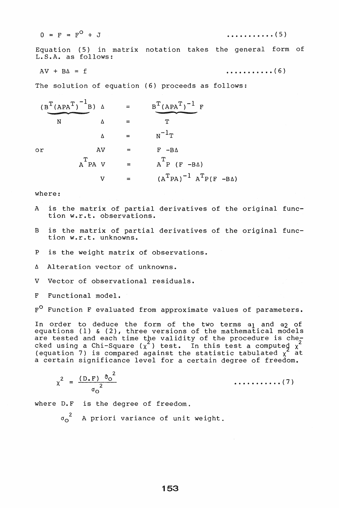$$
0 = F = F^{\circ} + J \tag{5}
$$

$$
\dots\dots\dots\dots\ (5)
$$

Equation (5) in matrix notation takes the general form of L.S.A. as follows:

$$
AV + B\Delta = f
$$

 $\ldots$  . . . . . . . . . . . (6)

The solution of equation (6) proceeds as follows:

$$
(B^{T}(APA^{T})^{-1}B) \triangle = B^{T}(APA^{T})^{-1}F
$$
\n
$$
\triangle = T
$$
\n
$$
\triangle = F
$$
\n
$$
AV = F - B\triangle
$$
\n
$$
A^{T}PA V = A^{T}P(F - B\triangle)
$$
\n
$$
V = (A^{T}PA)^{-1}A^{T}P(F - B\triangle)
$$

where:

- A is the matrix of partial derivatives of the original function w.r.t. observations.
- B is the matrix of partial derivatives of the original function w.r.t. unknowns.
- P is the weight matrix of observations.
- $\Delta$  Alteration vector of unknowns.

V Vector of observational residuals.

F Functional model.

F<sup>O</sup> Function F evaluated from approximate values of parameters.

In order to deduce the form of the two terms  $\alpha_1$  and  $\alpha_2$  of equations (1) & (2), three versions of the mathematical models are tested and each time the validity of the procedure is checked using a Chi-Square  $(x^2)$  test. In this test a computed  $x^2$ exca dising a christophare  $\chi$ , ease. In this case a compactly  $\chi$ <br>(equation 7) is compared against the statistic tabulated  $\chi$  at a certain significance level for a certain degree of freedom.

$$
\chi^2 = \frac{(D \cdot F)^{\delta} \sigma^2}{\sigma \sigma^2} \qquad \qquad \ldots \ldots \ldots \ldots (7)
$$

where D.F is the degree of freedom.

 ${\sigma_{\rm O}}^2$  – A priori variance of unit weight.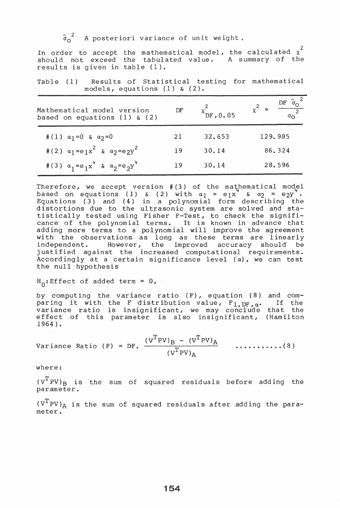$\hat{\sigma}_{0}^{2}$  A posteriori variance of unit weight.

In order to accept the mathematical model, the calculated  $\chi^2$ should not exceed the tabulated value.. A summary of the results is given in table (1).

Table (1) Results of Statistical testing for mathematical models, equations (1) & (2).

| Mathematical model version<br>based on equations $(1)$ & $(2)$ | DF     | $X$ <sub>DF</sub> , 0.05 |         |
|----------------------------------------------------------------|--------|--------------------------|---------|
| # (1) $\alpha_1 = 0$ & $\alpha_2 = 0$                          | $21 -$ | 32.653                   | 129.985 |
| #(2) $\alpha_1 = e^2$ & $\alpha_2 = e^2$                       | 19     | 30.14                    | 86.324  |
| #(3) $\alpha_1 = e_1 x^4$ & $\alpha_2 = e_2 y^4$               | 19     | 30.14                    | 28.596  |

Therefore, we accept version  $#(3)$  of the mathematical model based on equations (1) & (2) with  $\alpha_1 = e_1x^4$  &  $\alpha_2 = e_2y^4$ . Equations (3) and (4) in a polynomial form describing the distortions due to the ultrasonic system are solved and statistically tested using Fisher F-Test, to check the significance of the polynomial terms. It is known in advance that adding more terms to a polynomial will improve the agreement with the observations as long as these terms are linearly independent. However, the improved accuracy should be justified against the increased computational requirements. Accordingly at a certain significance level  $(\alpha)$ , we can test the null hypothesis

 $H_0$ : Effect of added term =  $0,$  and the state

by computing the variance ratio (F), equation (8) and comby comparing the variance ratio (r), equation (b) and com-<br>paring it with the F distribution value,  $F_{1,DF, \alpha}$ . If the  $\frac{1}{2}$  and  $\frac{1}{2}$  and  $\frac{1}{2}$  and  $\frac{1}{2}$  and  $\frac{1}{2}$  and  $\frac{1}{2}$  and  $\frac{1}{2}$  and  $\frac{1}{2}$  and  $\frac{1}{2}$  and  $\frac{1}{2}$  and  $\frac{1}{2}$  and  $\frac{1}{2}$  and  $\frac{1}{2}$  and  $\frac{1}{2}$  and  $\frac{1}{2}$  and  $\frac{1}{2}$  a variance ratio is insignificant, we may concrude that the<br>effect of this parameter is also insignificant, (Hamilton 1964).

Variance Ratio (F) • • • • • • • . • • • ( 8 )

where:

 $(v<sup>T</sup>PV)$ <sub>B</sub> is the sum of squared residuals before adding the parameter.

 $(V<sup>T</sup>PV)_{A}$  is the sum of squared residuals after adding the parameter.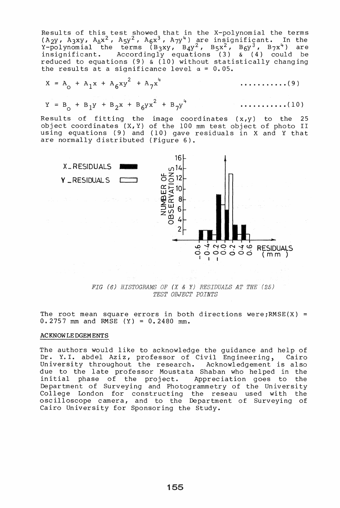Results of this test showed that in the X-polynomial the terms  $(A_2y, A_3xy, A_4x^2, A_5y^2, A_6x^3, A_7y^4)$  are insignificant. In the  $Y-polynomial$  the terms  $(B_3xy, B_4y^2, B_5x^2, B_6y^3, B_7x^4)$  are insignificant. Accordingly equations (3)  $\alpha$  (4) could be reduced to equations (9)  $\tilde{\alpha}$  (10) without statistically changing the results at a significance level  $\alpha = 0.05$ .

• •••••••••• ( 9 ) 

• • • " • . • • • • • ( 10)

Results of fitting the image coordinates (x,y) to the 25 object coordinates (X, Y) of the 100 mm test object of photo II using equations (9) and (10) gave residuals in X and Y that are normally distributed (Figure 6).



*FIG* (6) *HISTOGRAMS OF* (X & Y) *RESIDUALS AT THE (25) TEST OBJECT POINTS* 

The root mean square errors in both directions were;  $RMSE(X)$  =  $0.2757$  mm and RMSE (Y) =  $0.2480$  mm.

### ACKNOWLEDGEMENTS

The authors would like to acknowledge the guidance and help of Dr. Y.I. abdel Aziz, professor of Civil Engineering, Cairo Ert fire about here, professor of sivil Engineering, carro due to the late professor Moustata Shaban who helped in the initial phase of the project. Appreciation goes to the Department of Surveying and Photogrammetry of the University College London for constructing the reseau used with the osc illoscope camera, and to the Department of Surveying of Cairo University for Sponsoring the Study.